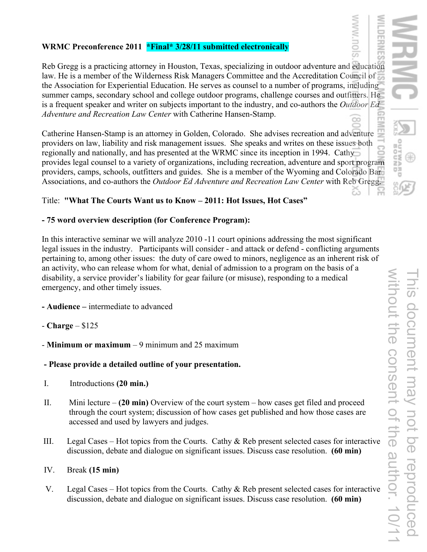## **WRMC Preconference 2011 \*Final\* 3/28/11 submitted electronically**

Reb Gregg is a practicing attorney in Houston, Texas, specializing in outdoor adventure and education law. He is a member of the Wilderness Risk Managers Committee and the Accreditation Council of the Association for Experiential Education. He serves as counsel to a number of programs, including summer camps, secondary school and college outdoor programs, challenge courses and outfitters. He is a frequent speaker and writer on subjects important to the industry, and co-authors the *Outdoor Ed Adventure and Recreation Law Center* with Catherine Hansen-Stamp.

Catherine Hansen-Stamp is an attorney in Golden, Colorado. She advises recreation and adventure providers on law, liability and risk management issues. She speaks and writes on these issues both regionally and nationally, and has presented at the WRMC since its inception in 1994. Cathy provides legal counsel to a variety of organizations, including recreation, adventure and sport program providers, camps, schools, outfitters and guides. She is a member of the Wyoming and Colorado Bar Associations, and co-authors the *Outdoor Ed Adventure and Recreation Law Center* with Reb Gregg.

### Title: **"What The Courts Want us to Know – 2011: Hot Issues, Hot Cases"**

### **- 75 word overview description (for Conference Program):**

In this interactive seminar we will analyze 2010 -11 court opinions addressing the most significant legal issues in the industry. Participants will consider - and attack or defend - conflicting arguments pertaining to, among other issues: the duty of care owed to minors, negligence as an inherent risk of an activity, who can release whom for what, denial of admission to a program on the basis of a disability, a service provider's liability for gear failure (or misuse), responding to a medical emergency, and other timely issues.

**- Audience –** intermediate to advanced

### - **Charge** – \$125

- **Minimum or maximum** – 9 minimum and 25 maximum

### **- Please provide a detailed outline of your presentation.**

- I. Introductions **(20 min.)**
- II. Mini lecture **(20 min)** Overview of the court system how cases get filed and proceed through the court system; discussion of how cases get published and how those cases are accessed and used by lawyers and judges.
- III. Legal Cases Hot topics from the Courts. Cathy & Reb present selected cases for interactive discussion, debate and dialogue on significant issues. Discuss case resolution. **(60 min)**

### IV. Break **(15 min)**

 V. Legal Cases – Hot topics from the Courts. Cathy & Reb present selected cases for interactive discussion, debate and dialogue on significant issues. Discuss case resolution. **(60 min)** 

**GNOOR**<br>GBAWTUO